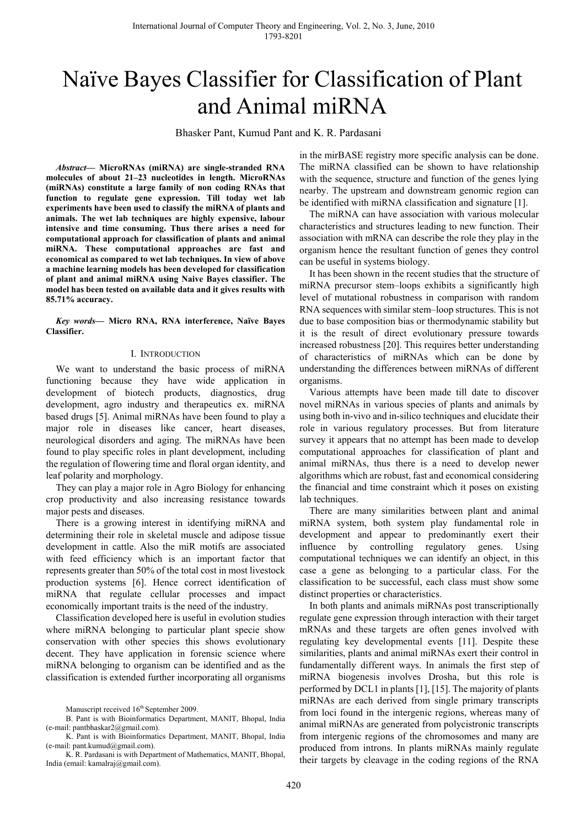# Naïve Bayes Classifier for Classification of Plant and Animal miRNA

Bhasker Pant, Kumud Pant and K. R. Pardasani

*Abstract***— MicroRNAs (miRNA) are single-stranded RNA molecules of about 21–23 nucleotides in length. MicroRNAs (miRNAs) constitute a large family of non coding RNAs that function to regulate gene expression. Till today wet lab experiments have been used to classify the miRNA of plants and animals. The wet lab techniques are highly expensive, labour intensive and time consuming. Thus there arises a need for computational approach for classification of plants and animal miRNA. These computational approaches are fast and economical as compared to wet lab techniques. In view of above a machine learning models has been developed for classification of plant and animal miRNA using Naive Bayes classifier. The model has been tested on available data and it gives results with 85.71% accuracy.** 

*Key words***— Micro RNA, RNA interference, Naïve Bayes Classifier.** 

### I. INTRODUCTION

We want to understand the basic process of miRNA functioning because they have wide application in development of biotech products, diagnostics, drug development, agro industry and therapeutics ex. miRNA based drugs [5]. Animal miRNAs have been found to play a major role in diseases like cancer, heart diseases, neurological disorders and aging. The miRNAs have been found to play specific roles in plant development, including the regulation of flowering time and floral organ identity, and leaf polarity and morphology.

They can play a major role in Agro Biology for enhancing crop productivity and also increasing resistance towards major pests and diseases.

There is a growing interest in identifying miRNA and determining their role in skeletal muscle and adipose tissue development in cattle. Also the miR motifs are associated with feed efficiency which is an important factor that represents greater than 50% of the total cost in most livestock production systems [6]. Hence correct identification of miRNA that regulate cellular processes and impact economically important traits is the need of the industry.

Classification developed here is useful in evolution studies where miRNA belonging to particular plant specie show conservation with other species this shows evolutionary decent. They have application in forensic science where miRNA belonging to organism can be identified and as the classification is extended further incorporating all organisms

 K. R. Pardasani is with Department of Mathematics, MANIT, Bhopal, India (email: kamalraj@gmail.com).

in the mirBASE registry more specific analysis can be done. The miRNA classified can be shown to have relationship with the sequence, structure and function of the genes lying nearby. The upstream and downstream genomic region can be identified with miRNA classification and signature [1].

The miRNA can have association with various molecular characteristics and structures leading to new function. Their association with mRNA can describe the role they play in the organism hence the resultant function of genes they control can be useful in systems biology.

It has been shown in the recent studies that the structure of miRNA precursor stem–loops exhibits a significantly high level of mutational robustness in comparison with random RNA sequences with similar stem–loop structures. This is not due to base composition bias or thermodynamic stability but it is the result of direct evolutionary pressure towards increased robustness [20]. This requires better understanding of characteristics of miRNAs which can be done by understanding the differences between miRNAs of different organisms.

Various attempts have been made till date to discover novel miRNAs in various species of plants and animals by using both in-vivo and in-silico techniques and elucidate their role in various regulatory processes. But from literature survey it appears that no attempt has been made to develop computational approaches for classification of plant and animal miRNAs, thus there is a need to develop newer algorithms which are robust, fast and economical considering the financial and time constraint which it poses on existing lab techniques.

There are many similarities between plant and animal miRNA system, both system play fundamental role in development and appear to predominantly exert their influence by controlling regulatory genes. Using computational techniques we can identify an object, in this case a gene as belonging to a particular class. For the classification to be successful, each class must show some distinct properties or characteristics.

In both plants and animals miRNAs post transcriptionally regulate gene expression through interaction with their target mRNAs and these targets are often genes involved with regulating key developmental events [11]. Despite these similarities, plants and animal miRNAs exert their control in fundamentally different ways. In animals the first step of miRNA biogenesis involves Drosha, but this role is performed by DCL1 in plants [1], [15]. The majority of plants miRNAs are each derived from single primary transcripts from loci found in the intergenic regions, whereas many of animal miRNAs are generated from polycistronic transcripts from intergenic regions of the chromosomes and many are produced from introns. In plants miRNAs mainly regulate their targets by cleavage in the coding regions of the RNA

Manuscript received  $16^{th}$  September 2009.

B. Pant is with Bioinformatics Department, MANIT, Bhopal, India (e-mail: pantbhaskar2@gmail.com).

K. Pant is with Bioinformatics Department, MANIT, Bhopal, India (e-mail: pant.kumud@gmail.com).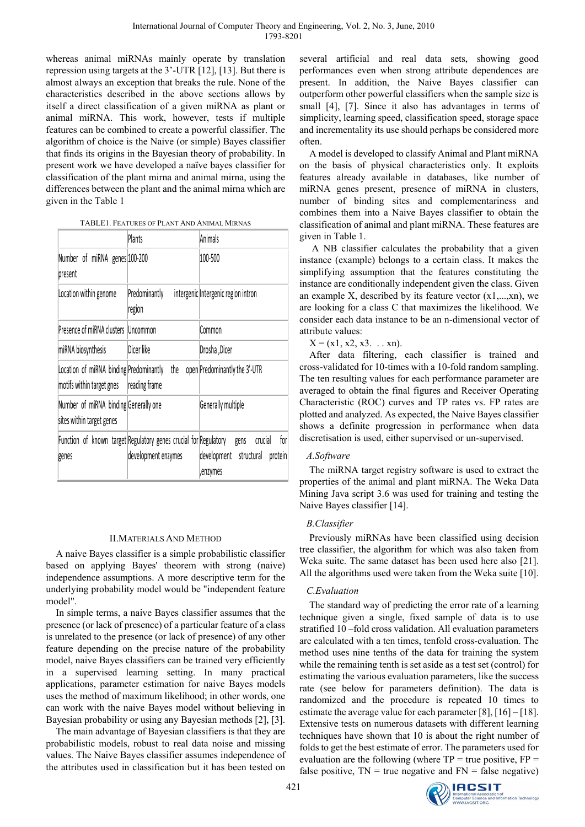whereas animal miRNAs mainly operate by translation repression using targets at the 3'-UTR [12], [13]. But there is almost always an exception that breaks the rule. None of the characteristics described in the above sections allows by itself a direct classification of a given miRNA as plant or animal miRNA. This work, however, tests if multiple features can be combined to create a powerful classifier. The algorithm of choice is the Naive (or simple) Bayes classifier that finds its origins in the Bayesian theory of probability. In present work we have developed a naïve bayes classifier for classification of the plant mirna and animal mirna, using the differences between the plant and the animal mirna which are given in the Table 1

|                                                                      | Plants                                                                                  | Animals                                                                    |  |
|----------------------------------------------------------------------|-----------------------------------------------------------------------------------------|----------------------------------------------------------------------------|--|
| Number of miRNA genes 100-200<br>present                             |                                                                                         | 100-500                                                                    |  |
| Location within genome                                               | Predominantly<br>region                                                                 | intergenic Intergenic region intron                                        |  |
| Presence of miRNA clusters                                           | Uncommon                                                                                | Common                                                                     |  |
| miRNA biosynthesis                                                   | Dicer like                                                                              | Drosha ,Dicer                                                              |  |
| Location of miRNA binding Predominantly<br>motifs within target gnes | the<br>reading frame                                                                    | open Predominantly the 3'-UTR                                              |  |
| Number of miRNA binding Generally one<br>sites within target genes   |                                                                                         | Generally multiple                                                         |  |
| genes                                                                | Function of known target Regulatory genes crucial for Regulatory<br>development enzymes | for<br>crucial<br>gens<br>development<br>structural<br>protein<br>,enzymes |  |

### II.MATERIALS AND METHOD

A naive Bayes classifier is a simple probabilistic classifier based on applying Bayes' theorem with strong (naive) independence assumptions. A more descriptive term for the underlying probability model would be "independent feature model".

In simple terms, a naive Bayes classifier assumes that the presence (or lack of presence) of a particular feature of a class is unrelated to the presence (or lack of presence) of any other feature depending on the precise nature of the probability model, naive Bayes classifiers can be trained very efficiently in a supervised learning setting. In many practical applications, parameter estimation for naive Bayes models uses the method of maximum likelihood; in other words, one can work with the naive Bayes model without believing in Bayesian probability or using any Bayesian methods [2], [3].

The main advantage of Bayesian classifiers is that they are probabilistic models, robust to real data noise and missing values. The Naive Bayes classifier assumes independence of the attributes used in classification but it has been tested on

several artificial and real data sets, showing good performances even when strong attribute dependences are present. In addition, the Naive Bayes classifier can outperform other powerful classifiers when the sample size is small [4], [7]. Since it also has advantages in terms of simplicity, learning speed, classification speed, storage space and incrementality its use should perhaps be considered more often.

A model is developed to classify Animal and Plant miRNA on the basis of physical characteristics only. It exploits features already available in databases, like number of miRNA genes present, presence of miRNA in clusters, number of binding sites and complementariness and combines them into a Naive Bayes classifier to obtain the classification of animal and plant miRNA. These features are given in Table 1.

 A NB classifier calculates the probability that a given instance (example) belongs to a certain class. It makes the simplifying assumption that the features constituting the instance are conditionally independent given the class. Given an example X, described by its feature vector  $(x1,...,xn)$ , we are looking for a class C that maximizes the likelihood. We consider each data instance to be an n-dimensional vector of attribute values:

 $X = (x1, x2, x3, \dots xn).$ 

After data filtering, each classifier is trained and cross-validated for 10-times with a 10-fold random sampling. The ten resulting values for each performance parameter are averaged to obtain the final figures and Receiver Operating Characteristic (ROC) curves and TP rates vs. FP rates are plotted and analyzed. As expected, the Naive Bayes classifier shows a definite progression in performance when data discretisation is used, either supervised or un-supervised.

### *A.Software*

The miRNA target registry software is used to extract the properties of the animal and plant miRNA. The Weka Data Mining Java script 3.6 was used for training and testing the Naive Bayes classifier [14].

### *B.Classifier*

Previously miRNAs have been classified using decision tree classifier, the algorithm for which was also taken from Weka suite. The same dataset has been used here also [21]. All the algorithms used were taken from the Weka suite [10].

## *C.Evaluation*

The standard way of predicting the error rate of a learning technique given a single, fixed sample of data is to use stratified 10 –fold cross validation. All evaluation parameters are calculated with a ten times, tenfold cross-evaluation. The method uses nine tenths of the data for training the system while the remaining tenth is set aside as a test set (control) for estimating the various evaluation parameters, like the success rate (see below for parameters definition). The data is randomized and the procedure is repeated 10 times to estimate the average value for each parameter [8], [16] – [18]. Extensive tests on numerous datasets with different learning techniques have shown that 10 is about the right number of folds to get the best estimate of error. The parameters used for evaluation are the following (where  $TP = true$  positive,  $FP =$ false positive,  $TN = true$  negative and  $FN = false$  negative)

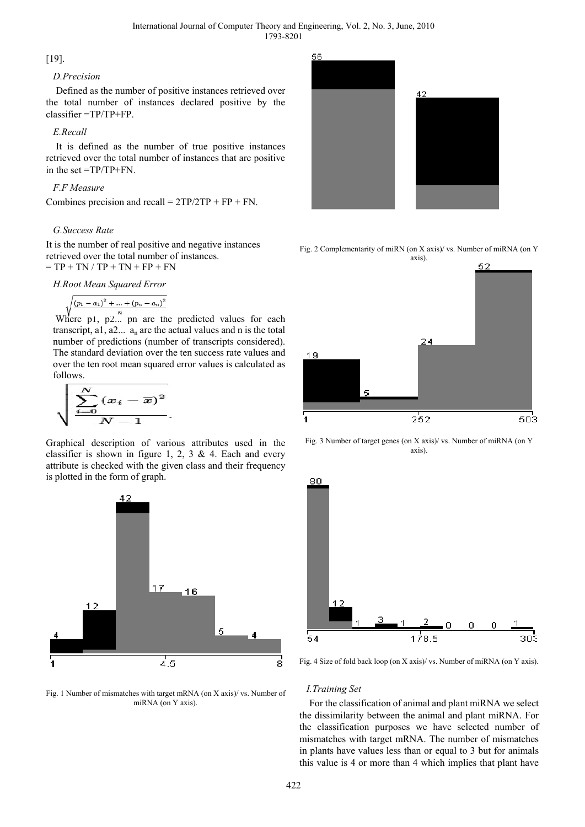## [19].

### *D.Precision*

Defined as the number of positive instances retrieved over the total number of instances declared positive by the classifier =TP/TP+FP.

## *E.Recall*

It is defined as the number of true positive instances retrieved over the total number of instances that are positive in the set =TP/TP+FN.

## *F.F Measure*

Combines precision and recall =  $2TP/2TP + FP + FN$ .

## *G.Success Rate*

It is the number of real positive and negative instances retrieved over the total number of instances.  $= TP + TN / TP + TN + FP + FN$ 



$$
\Bigl/(p_1-a_1)^2+...+(p_n-a_n)^2
$$

Where p1, p2... pn are the predicted values for each transcript, a1,  $a2... a<sub>n</sub>$  are the actual values and n is the total number of predictions (number of transcripts considered). The standard deviation over the ten success rate values and over the ten root mean squared error values is calculated as follows.

$$
\sqrt{\frac{\sum_{i=0}^{N}(x_i-\overline{x})^2}{N-1}}.
$$

Graphical description of various attributes used in the classifier is shown in figure 1, 2, 3  $\&$  4. Each and every attribute is checked with the given class and their frequency is plotted in the form of graph.



Fig. 1 Number of mismatches with target mRNA (on X axis)/ vs. Number of miRNA (on Y axis).



Fig. 2 Complementarity of miRN (on X axis)/ vs. Number of miRNA (on Y



Fig. 3 Number of target genes (on X axis)/ vs. Number of miRNA (on Y axis).



Fig. 4 Size of fold back loop (on X axis)/ vs. Number of miRNA (on Y axis).

### *I.Training Set*

For the classification of animal and plant miRNA we select the dissimilarity between the animal and plant miRNA. For the classification purposes we have selected number of mismatches with target mRNA. The number of mismatches in plants have values less than or equal to 3 but for animals this value is 4 or more than 4 which implies that plant have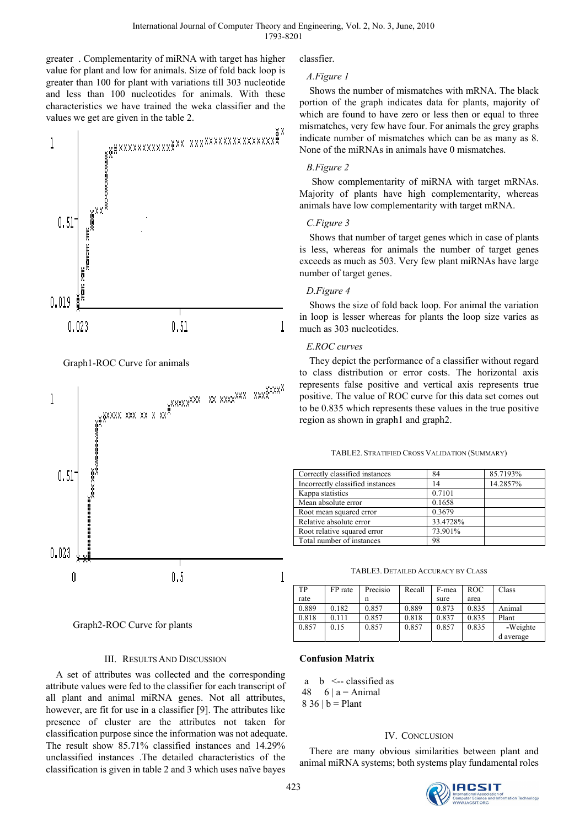greater . Complementarity of miRNA with target has higher value for plant and low for animals. Size of fold back loop is greater than 100 for plant with variations till 303 nucleotide and less than 100 nucleotides for animals. With these characteristics we have trained the weka classifier and the values we get are given in the table 2.





Graph2-ROC Curve for plants

### III. RESULTS AND DISCUSSION

A set of attributes was collected and the corresponding attribute values were fed to the classifier for each transcript of all plant and animal miRNA genes. Not all attributes, however, are fit for use in a classifier [9]. The attributes like presence of cluster are the attributes not taken for classification purpose since the information was not adequate. The result show 85.71% classified instances and 14.29% unclassified instances .The detailed characteristics of the classification is given in table 2 and 3 which uses naïve bayes

classfier.

## *A.Figure 1*

Shows the number of mismatches with mRNA. The black portion of the graph indicates data for plants, majority of which are found to have zero or less then or equal to three mismatches, very few have four. For animals the grey graphs indicate number of mismatches which can be as many as 8. None of the miRNAs in animals have 0 mismatches.

## *B.Figure 2*

 Show complementarity of miRNA with target mRNAs. Majority of plants have high complementarity, whereas animals have low complementarity with target mRNA.

## *C.Figure 3*

Shows that number of target genes which in case of plants is less, whereas for animals the number of target genes exceeds as much as 503. Very few plant miRNAs have large number of target genes.

## *D.Figure 4*

Shows the size of fold back loop. For animal the variation in loop is lesser whereas for plants the loop size varies as much as 303 nucleotides.

## *E.ROC curves*

They depict the performance of a classifier without regard to class distribution or error costs. The horizontal axis represents false positive and vertical axis represents true positive. The value of ROC curve for this data set comes out to be 0.835 which represents these values in the true positive region as shown in graph1 and graph2.

| TABLE2. STRATIFIED CROSS VALIDATION (SUMMARY) |  |
|-----------------------------------------------|--|
|-----------------------------------------------|--|

| Correctly classified instances   | 84       | 85.7193% |
|----------------------------------|----------|----------|
| Incorrectly classified instances | 14       | 14.2857% |
| Kappa statistics                 | 0.7101   |          |
| Mean absolute error              | 0.1658   |          |
| Root mean squared error          | 0.3679   |          |
| Relative absolute error          | 33.4728% |          |
| Root relative squared error      | 73.901%  |          |
| Total number of instances        | 98       |          |

|  | <b>TABLE3. DETAILED ACCURACY BY CLASS</b> |  |
|--|-------------------------------------------|--|
|  |                                           |  |

| TР    | FP rate | Precisio | Recall | F-mea | <b>ROC</b> | Class     |
|-------|---------|----------|--------|-------|------------|-----------|
| rate  |         | n        |        | sure  | area       |           |
| 0.889 | 0.182   | 0.857    | 0.889  | 0.873 | 0.835      | Animal    |
| 0.818 | 0.111   | 0.857    | 0.818  | 0.837 | 0.835      | Plant     |
| 0.857 | 0.15    | 0.857    | 0.857  | 0.857 | 0.835      | -Weighte  |
|       |         |          |        |       |            | d average |

## **Confusion Matrix**

a  $b \le$ -- classified as 48 6 | a = Animal 8 36 |  $b =$  Plant

# IV. CONCLUSION

There are many obvious similarities between plant and animal miRNA systems; both systems play fundamental roles